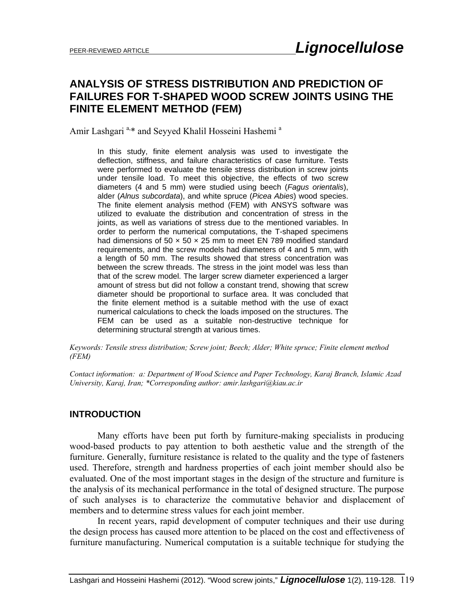# **ANALYSIS OF STRESS DISTRIBUTION AND PREDICTION OF FAILURES FOR T-SHAPED WOOD SCREW JOINTS USING THE FINITE ELEMENT METHOD (FEM)**

Amir Lashgari<sup>a,\*</sup> and Seyyed Khalil Hosseini Hashemi<sup>a</sup>

In this study, finite element analysis was used to investigate the deflection, stiffness, and failure characteristics of case furniture. Tests were performed to evaluate the tensile stress distribution in screw joints under tensile load. To meet this objective, the effects of two screw diameters (4 and 5 mm) were studied using beech (*Fagus orientalis*), alder (*Alnus subcordata*), and white spruce (*Picea Abies*) wood species. The finite element analysis method (FEM) with ANSYS software was utilized to evaluate the distribution and concentration of stress in the joints, as well as variations of stress due to the mentioned variables. In order to perform the numerical computations, the T-shaped specimens had dimensions of 50  $\times$  50  $\times$  25 mm to meet EN 789 modified standard requirements, and the screw models had diameters of 4 and 5 mm, with a length of 50 mm. The results showed that stress concentration was between the screw threads. The stress in the joint model was less than that of the screw model. The larger screw diameter experienced a larger amount of stress but did not follow a constant trend, showing that screw diameter should be proportional to surface area. It was concluded that the finite element method is a suitable method with the use of exact numerical calculations to check the loads imposed on the structures. The FEM can be used as a suitable non-destructive technique for determining structural strength at various times.

*Keywords: Tensile stress distribution; Screw joint; Beech; Alder; White spruce; Finite element method (FEM)* 

*Contact information: a: Department of Wood Science and Paper Technology, Karaj Branch, Islamic Azad University, Karaj, Iran; \*Corresponding author: amir.lashgari@kiau.ac.ir* 

## **INTRODUCTION**

Many efforts have been put forth by furniture-making specialists in producing wood-based products to pay attention to both aesthetic value and the strength of the furniture. Generally, furniture resistance is related to the quality and the type of fasteners used. Therefore, strength and hardness properties of each joint member should also be evaluated. One of the most important stages in the design of the structure and furniture is the analysis of its mechanical performance in the total of designed structure. The purpose of such analyses is to characterize the commutative behavior and displacement of members and to determine stress values for each joint member.

In recent years, rapid development of computer techniques and their use during the design process has caused more attention to be placed on the cost and effectiveness of furniture manufacturing. Numerical computation is a suitable technique for studying the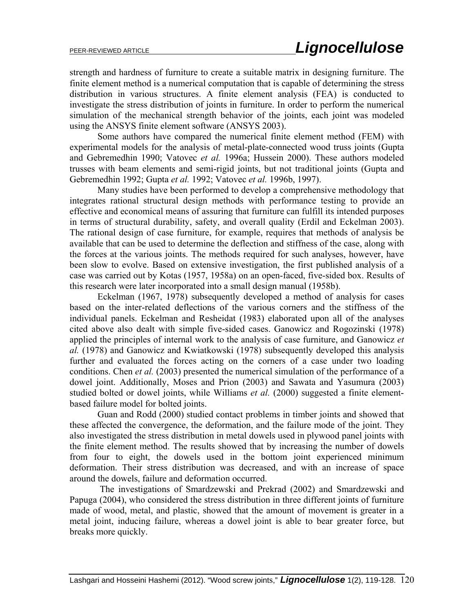strength and hardness of furniture to create a suitable matrix in designing furniture. The finite element method is a numerical computation that is capable of determining the stress distribution in various structures. A finite element analysis (FEA) is conducted to investigate the stress distribution of joints in furniture. In order to perform the numerical simulation of the mechanical strength behavior of the joints, each joint was modeled using the ANSYS finite element software (ANSYS 2003).

Some authors have compared the numerical finite element method (FEM) with experimental models for the analysis of metal-plate-connected wood truss joints (Gupta and Gebremedhin 1990; Vatovec *et al.* 1996a; Hussein 2000). These authors modeled trusses with beam elements and semi-rigid joints, but not traditional joints (Gupta and Gebremedhin 1992; Gupta *et al.* 1992; Vatovec *et al.* 1996b, 1997).

Many studies have been performed to develop a comprehensive methodology that integrates rational structural design methods with performance testing to provide an effective and economical means of assuring that furniture can fulfill its intended purposes in terms of structural durability, safety, and overall quality (Erdil and Eckelman 2003). The rational design of case furniture, for example, requires that methods of analysis be available that can be used to determine the deflection and stiffness of the case, along with the forces at the various joints. The methods required for such analyses, however, have been slow to evolve. Based on extensive investigation, the first published analysis of a case was carried out by Kotas (1957, 1958a) on an open-faced, five-sided box. Results of this research were later incorporated into a small design manual (1958b).

Eckelman (1967, 1978) subsequently developed a method of analysis for cases based on the inter-related deflections of the various corners and the stiffness of the individual panels. Eckelman and Resheidat (1983) elaborated upon all of the analyses cited above also dealt with simple five-sided cases. Ganowicz and Rogozinski (1978) applied the principles of internal work to the analysis of case furniture, and Ganowicz *et al.* (1978) and Ganowicz and Kwiatkowski (1978) subsequently developed this analysis further and evaluated the forces acting on the corners of a case under two loading conditions. Chen *et al.* (2003) presented the numerical simulation of the performance of a dowel joint. Additionally, Moses and Prion (2003) and Sawata and Yasumura (2003) studied bolted or dowel joints, while Williams *et al.* (2000) suggested a finite elementbased failure model for bolted joints.

Guan and Rodd (2000) studied contact problems in timber joints and showed that these affected the convergence, the deformation, and the failure mode of the joint. They also investigated the stress distribution in metal dowels used in plywood panel joints with the finite element method. The results showed that by increasing the number of dowels from four to eight, the dowels used in the bottom joint experienced minimum deformation. Their stress distribution was decreased, and with an increase of space around the dowels, failure and deformation occurred.

 The investigations of Smardzewski and Prekrad (2002) and Smardzewski and Papuga (2004), who considered the stress distribution in three different joints of furniture made of wood, metal, and plastic, showed that the amount of movement is greater in a metal joint, inducing failure, whereas a dowel joint is able to bear greater force, but breaks more quickly.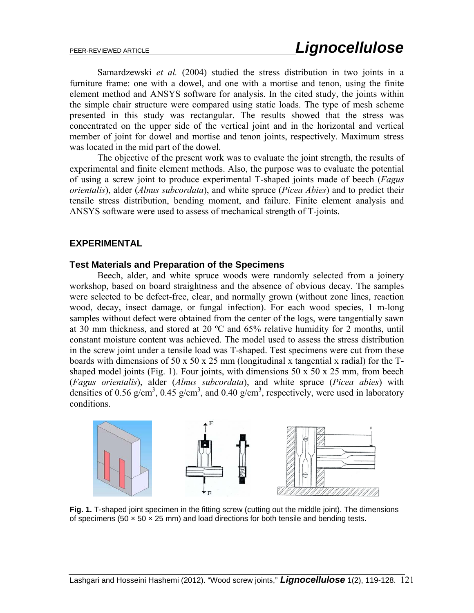Samardzewski *et al.* (2004) studied the stress distribution in two joints in a furniture frame: one with a dowel, and one with a mortise and tenon, using the finite element method and ANSYS software for analysis. In the cited study, the joints within the simple chair structure were compared using static loads. The type of mesh scheme presented in this study was rectangular. The results showed that the stress was concentrated on the upper side of the vertical joint and in the horizontal and vertical member of joint for dowel and mortise and tenon joints, respectively. Maximum stress was located in the mid part of the dowel.

The objective of the present work was to evaluate the joint strength, the results of experimental and finite element methods. Also, the purpose was to evaluate the potential of using a screw joint to produce experimental T-shaped joints made of beech (*Fagus orientalis*), alder (*Alnus subcordata*), and white spruce (*Picea Abies*) and to predict their tensile stress distribution, bending moment, and failure. Finite element analysis and ANSYS software were used to assess of mechanical strength of T-joints.

## **EXPERIMENTAL**

## **Test Materials and Preparation of the Specimens**

Beech, alder, and white spruce woods were randomly selected from a joinery workshop, based on board straightness and the absence of obvious decay. The samples were selected to be defect-free, clear, and normally grown (without zone lines, reaction wood, decay, insect damage, or fungal infection). For each wood species, 1 m-long samples without defect were obtained from the center of the logs, were tangentially sawn at 30 mm thickness, and stored at 20 ºC and 65% relative humidity for 2 months, until constant moisture content was achieved. The model used to assess the stress distribution in the screw joint under a tensile load was T-shaped. Test specimens were cut from these boards with dimensions of 50 x 50 x 25 mm (longitudinal x tangential x radial) for the Tshaped model joints (Fig. 1). Four joints, with dimensions  $50 \times 50 \times 25$  mm, from beech (*Fagus orientalis*), alder (*Alnus subcordata*), and white spruce (*Picea abies*) with densities of 0.56 g/cm<sup>3</sup>, 0.45 g/cm<sup>3</sup>, and 0.40 g/cm<sup>3</sup>, respectively, were used in laboratory conditions.



**Fig. 1.** T-shaped joint specimen in the fitting screw (cutting out the middle joint). The dimensions of specimens (50  $\times$  50  $\times$  25 mm) and load directions for both tensile and bending tests.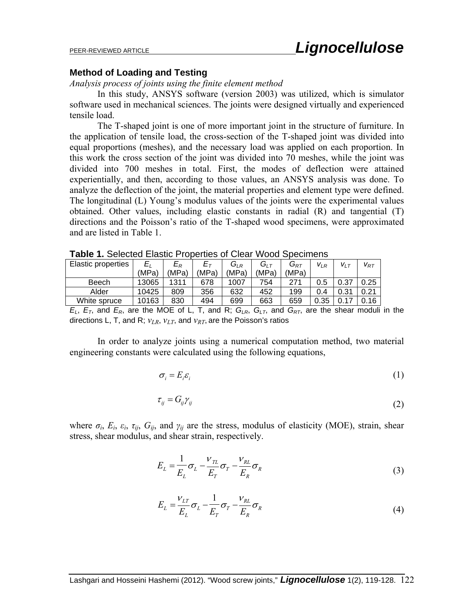#### **Method of Loading and Testing**

#### *Analysis process of joints using the finite element method*

In this study, ANSYS software (version 2003) was utilized, which is simulator software used in mechanical sciences. The joints were designed virtually and experienced tensile load.

The T-shaped joint is one of more important joint in the structure of furniture. In the application of tensile load, the cross-section of the T-shaped joint was divided into equal proportions (meshes), and the necessary load was applied on each proportion. In this work the cross section of the joint was divided into 70 meshes, while the joint was divided into 700 meshes in total. First, the modes of deflection were attained experientially, and then, according to those values, an ANSYS analysis was done. To analyze the deflection of the joint, the material properties and element type were defined. The longitudinal (L) Young's modulus values of the joints were the experimental values obtained. Other values, including elastic constants in radial (R) and tangential (T) directions and the Poisson's ratio of the T-shaped wood specimens, were approximated and are listed in Table 1.

| i uwit<br>T. OCICCICO ERIGHO I TODONICO OI OICAL<br>wood Opcomons |         |                         |       |          |                   |          |          |          |          |
|-------------------------------------------------------------------|---------|-------------------------|-------|----------|-------------------|----------|----------|----------|----------|
| Elastic properties                                                | $E_{I}$ | $\mathsf E_{\mathsf R}$ |       | $G_{LR}$ | $G_{\mathsf{LT}}$ | $G_{RT}$ | $V_{LR}$ | $V_{LT}$ | $V_{RT}$ |
|                                                                   | (MPa)   | (MPa)                   | (MPa) | (MPa)    | (MPa)             | (MPa)    |          |          |          |
| Beech                                                             | 13065   | 1311                    | 678   | 1007     | 754               | 271      | 0.5      | 0.37     | 0.25     |
| Alder                                                             | 10425   | 809                     | 356   | 632      | 452               | 199      | 0.4      | 0.31     | 0.21     |
| White spruce                                                      | 10163   | 830                     | 494   | 699      | 663               | 659      | 0.35     | ∩ 17     | 0.16     |

**Table 1.** Selected Elastic Properties of Clear Wood Specimens

 $E_L$ ,  $E_T$ , and  $E_R$ , are the MOE of L, T, and R;  $G_{LR}$ ,  $G_{LT}$ , and  $G_{RT}$ , are the shear moduli in the directions L, T, and R;  $v_{LR}$ ,  $v_{LT}$ , and  $v_{RT}$ , are the Poisson's ratios

In order to analyze joints using a numerical computation method, two material engineering constants were calculated using the following equations,

$$
\sigma_i = E_i \varepsilon_i \tag{1}
$$

$$
\tau_{ij} = G_{ij} \gamma_{ij} \tag{2}
$$

where  $\sigma_i$ ,  $E_i$ ,  $\varepsilon_i$ ,  $\tau_{ij}$ ,  $G_{ij}$ , and  $\gamma_{ij}$  are the stress, modulus of elasticity (MOE), strain, shear stress, shear modulus, and shear strain, respectively.

$$
E_L = \frac{1}{E_L} \sigma_L - \frac{V_{TL}}{E_T} \sigma_T - \frac{V_{RL}}{E_R} \sigma_R
$$
\n(3)

$$
E_L = \frac{V_{LT}}{E_L} \sigma_L - \frac{1}{E_T} \sigma_T - \frac{V_{RL}}{E_R} \sigma_R
$$
\n(4)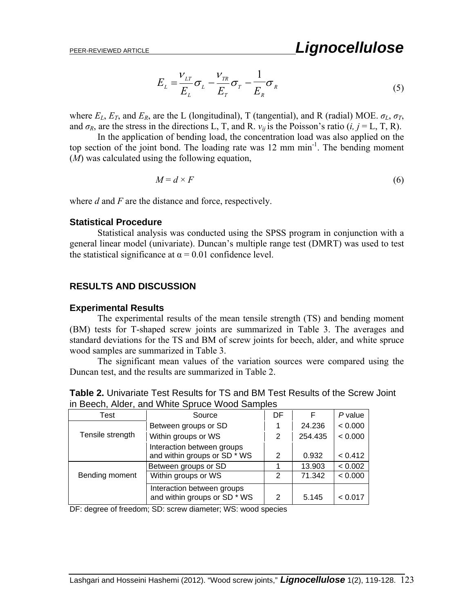$$
E_{L} = \frac{V_{LT}}{E_{L}} \sigma_{L} - \frac{V_{TR}}{E_{T}} \sigma_{T} - \frac{1}{E_{R}} \sigma_{R}
$$
\n<sup>(5)</sup>

where  $E_L$ ,  $E_T$ , and  $E_R$ , are the L (longitudinal), T (tangential), and R (radial) MOE.  $\sigma_L$ ,  $\sigma_T$ , and  $\sigma_R$ , are the stress in the directions L, T, and R.  $v_{ij}$  is the Poisson's ratio (*i*, *j* = L, T, R).

In the application of bending load, the concentration load was also applied on the top section of the joint bond. The loading rate was 12 mm min<sup>-1</sup>. The bending moment (*M*) was calculated using the following equation,

$$
M = d \times F \tag{6}
$$

where *d* and *F* are the distance and force, respectively.

## **Statistical Procedure**

Statistical analysis was conducted using the SPSS program in conjunction with a general linear model (univariate). Duncan's multiple range test (DMRT) was used to test the statistical significance at  $\alpha = 0.01$  confidence level.

## **RESULTS AND DISCUSSION**

#### **Experimental Results**

 The experimental results of the mean tensile strength (TS) and bending moment (BM) tests for T-shaped screw joints are summarized in Table 3. The averages and standard deviations for the TS and BM of screw joints for beech, alder, and white spruce wood samples are summarized in Table 3.

The significant mean values of the variation sources were compared using the Duncan test, and the results are summarized in Table 2.

| <b>Table 2.</b> Univariate Test Results for TS and BM Test Results of the Screw Joint |  |
|---------------------------------------------------------------------------------------|--|
| in Beech, Alder, and White Spruce Wood Samples                                        |  |

| <b>Test</b>      | Source                                                     | DF            | F       | $P$ value |
|------------------|------------------------------------------------------------|---------------|---------|-----------|
|                  | Between groups or SD                                       |               | 24.236  | < 0.000   |
| Tensile strength | Within groups or WS                                        | 2             | 254.435 | < 0.000   |
|                  | Interaction between groups<br>and within groups or SD * WS | 2             | 0.932   | < 0.412   |
|                  | Between groups or SD                                       |               | 13.903  | < 0.002   |
| Bending moment   | Within groups or WS                                        | $\mathcal{P}$ | 71.342  | < 0.000   |
|                  | Interaction between groups<br>and within groups or SD * WS | 2             | 5.145   | < 0.017   |

DF: degree of freedom; SD: screw diameter; WS: wood species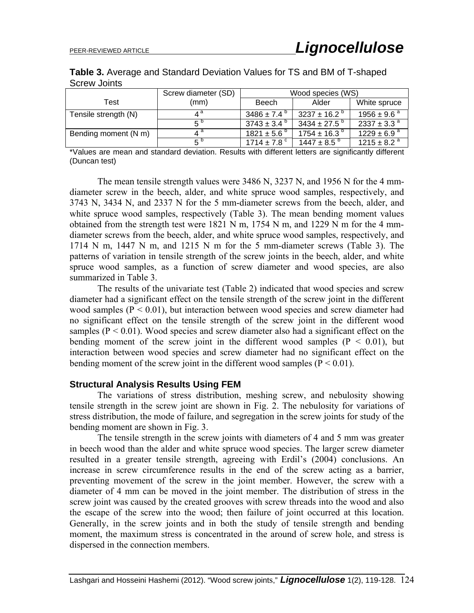| Table 3. Average and Standard Deviation Values for TS and BM of T-shaped |  |  |
|--------------------------------------------------------------------------|--|--|
| Screw Joints                                                             |  |  |

|                      | Screw diameter (SD) | Wood species (WS)      |                            |                             |  |  |
|----------------------|---------------------|------------------------|----------------------------|-----------------------------|--|--|
| Test                 | (mm)                | Beech                  | Alder                      | White spruce                |  |  |
| Tensile strength (N) | $4^{\mathsf{a}}$    | 3486 ± 7.4 $^{\circ}$  | 3237 ± 16.2 $^{\circ}$     | $1956 \pm 9.6^{\text{ a}}$  |  |  |
|                      | Б.                  | $3743 \pm 3.4^{\circ}$ | $3434 \pm 27.5$ $^{\circ}$ | $2337 \pm 3.3^{\circ}$      |  |  |
| Bending moment (N m) | ⊿ a                 | $1821 \pm 5.6^{\circ}$ | $1754 \pm 16.3^{\circ}$    | $1229 \pm 6.9^{\circ}$      |  |  |
|                      | $5^{\circ}$         | 1714 ± 7.8 $^{\circ}$  | $1447 \pm 8.5^{\circ}$     | $1215 \pm 8.2$ <sup>a</sup> |  |  |

\*Values are mean and standard deviation. Results with different letters are significantly different (Duncan test)

The mean tensile strength values were 3486 N, 3237 N, and 1956 N for the 4 mmdiameter screw in the beech, alder, and white spruce wood samples, respectively, and 3743 N, 3434 N, and 2337 N for the 5 mm-diameter screws from the beech, alder, and white spruce wood samples, respectively (Table 3). The mean bending moment values obtained from the strength test were 1821 N m, 1754 N m, and 1229 N m for the 4 mmdiameter screws from the beech, alder, and white spruce wood samples, respectively, and 1714 N m, 1447 N m, and 1215 N m for the 5 mm-diameter screws (Table 3). The patterns of variation in tensile strength of the screw joints in the beech, alder, and white spruce wood samples, as a function of screw diameter and wood species, are also summarized in Table 3.

The results of the univariate test (Table 2) indicated that wood species and screw diameter had a significant effect on the tensile strength of the screw joint in the different wood samples  $(P < 0.01)$ , but interaction between wood species and screw diameter had no significant effect on the tensile strength of the screw joint in the different wood samples ( $P < 0.01$ ). Wood species and screw diameter also had a significant effect on the bending moment of the screw joint in the different wood samples  $(P < 0.01)$ , but interaction between wood species and screw diameter had no significant effect on the bending moment of the screw joint in the different wood samples  $(P < 0.01)$ .

## **Structural Analysis Results Using FEM**

The variations of stress distribution, meshing screw, and nebulosity showing tensile strength in the screw joint are shown in Fig. 2. The nebulosity for variations of stress distribution, the mode of failure, and segregation in the screw joints for study of the bending moment are shown in Fig. 3.

The tensile strength in the screw joints with diameters of 4 and 5 mm was greater in beech wood than the alder and white spruce wood species. The larger screw diameter resulted in a greater tensile strength, agreeing with Erdil's (2004) conclusions. An increase in screw circumference results in the end of the screw acting as a barrier, preventing movement of the screw in the joint member. However, the screw with a diameter of 4 mm can be moved in the joint member. The distribution of stress in the screw joint was caused by the created grooves with screw threads into the wood and also the escape of the screw into the wood; then failure of joint occurred at this location. Generally, in the screw joints and in both the study of tensile strength and bending moment, the maximum stress is concentrated in the around of screw hole, and stress is dispersed in the connection members.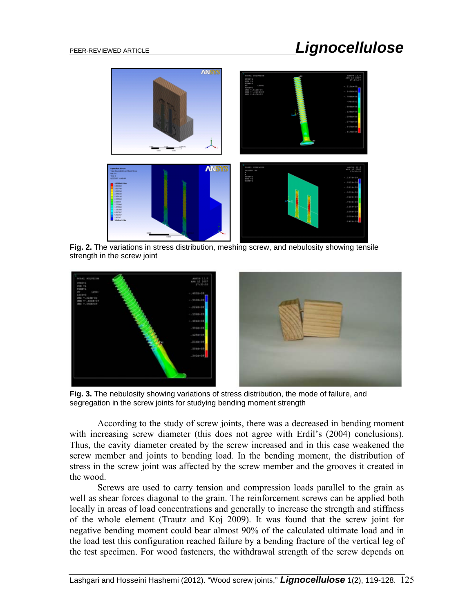# PEER-REVIEWED ARTICLE *Lignocellulose*



**Fig. 2.** The variations in stress distribution, meshing screw, and nebulosity showing tensile strength in the screw joint



**Fig. 3.** The nebulosity showing variations of stress distribution, the mode of failure, and segregation in the screw joints for studying bending moment strength

According to the study of screw joints, there was a decreased in bending moment with increasing screw diameter (this does not agree with Erdil's  $(2004)$  conclusions). Thus, the cavity diameter created by the screw increased and in this case weakened the screw member and joints to bending load. In the bending moment, the distribution of stress in the screw joint was affected by the screw member and the grooves it created in the wood.

Screws are used to carry tension and compression loads parallel to the grain as well as shear forces diagonal to the grain. The reinforcement screws can be applied both locally in areas of load concentrations and generally to increase the strength and stiffness of the whole element (Trautz and Koj 2009). It was found that the screw joint for negative bending moment could bear almost 90% of the calculated ultimate load and in the load test this configuration reached failure by a bending fracture of the vertical leg of the test specimen. For wood fasteners, the withdrawal strength of the screw depends on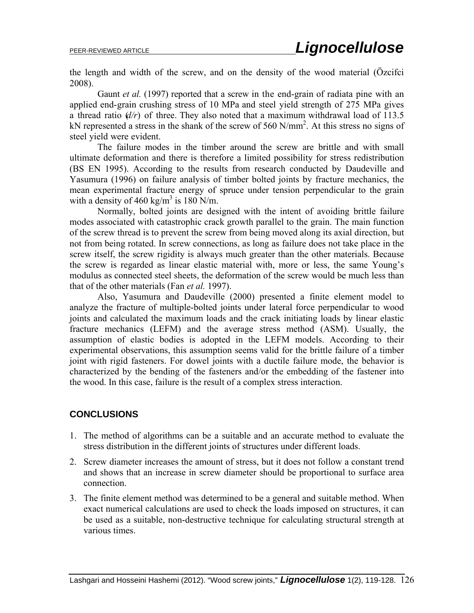the length and width of the screw, and on the density of the wood material (Özcifci 2008).

Gaunt *et al.* (1997) reported that a screw in the end-grain of radiata pine with an applied end-grain crushing stress of 10 MPa and steel yield strength of 275 MPa gives a thread ratio  $(d/r)$  of three. They also noted that a maximum withdrawal load of 113.5 kN represented a stress in the shank of the screw of 560 N/mm<sup>2</sup>. At this stress no signs of steel yield were evident.

The failure modes in the timber around the screw are brittle and with small ultimate deformation and there is therefore a limited possibility for stress redistribution (BS EN 1995). According to the results from research conducted by Daudeville and Yasumura (1996) on failure analysis of timber bolted joints by fracture mechanics, the mean experimental fracture energy of spruce under tension perpendicular to the grain with a density of  $460 \text{ kg/m}^3$  is  $180 \text{ N/m}$ .

Normally, bolted joints are designed with the intent of avoiding brittle failure modes associated with catastrophic crack growth parallel to the grain. The main function of the screw thread is to prevent the screw from being moved along its axial direction, but not from being rotated. In screw connections, as long as failure does not take place in the screw itself, the screw rigidity is always much greater than the other materials. Because the screw is regarded as linear elastic material with, more or less, the same Young's modulus as connected steel sheets, the deformation of the screw would be much less than that of the other materials (Fan *et al.* 1997).

Also, Yasumura and Daudeville (2000) presented a finite element model to analyze the fracture of multiple-bolted joints under lateral force perpendicular to wood joints and calculated the maximum loads and the crack initiating loads by linear elastic fracture mechanics (LEFM) and the average stress method (ASM). Usually, the assumption of elastic bodies is adopted in the LEFM models. According to their experimental observations, this assumption seems valid for the brittle failure of a timber joint with rigid fasteners. For dowel joints with a ductile failure mode, the behavior is characterized by the bending of the fasteners and/or the embedding of the fastener into the wood. In this case, failure is the result of a complex stress interaction.

## **CONCLUSIONS**

- 1. The method of algorithms can be a suitable and an accurate method to evaluate the stress distribution in the different joints of structures under different loads.
- 2. Screw diameter increases the amount of stress, but it does not follow a constant trend and shows that an increase in screw diameter should be proportional to surface area connection.
- 3. The finite element method was determined to be a general and suitable method. When exact numerical calculations are used to check the loads imposed on structures, it can be used as a suitable, non-destructive technique for calculating structural strength at various times.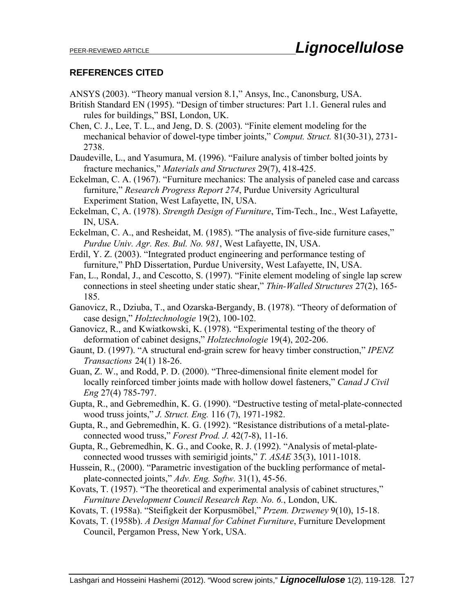## **REFERENCES CITED**

ANSYS (2003). "Theory manual version 8.1," Ansys, Inc., Canonsburg, USA.

- British Standard EN (1995). "Design of timber structures: Part 1.1. General rules and rules for buildings," BSI, London, UK.
- Chen, C. J., Lee, T. L., and Jeng, D. S. (2003). "Finite element modeling for the mechanical behavior of dowel-type timber joints," *Comput. Struct.* 81(30-31), 2731- 2738.
- Daudeville, L., and Yasumura, M. (1996). "Failure analysis of timber bolted joints by fracture mechanics," *Materials and Structures* 29(7), 418-425.
- Eckelman, C. A. (1967). "Furniture mechanics: The analysis of paneled case and carcass furniture," *Research Progress Report 274*, Purdue University Agricultural Experiment Station, West Lafayette, IN, USA.
- Eckelman, C, A. (1978). *Strength Design of Furniture*, Tim-Tech., Inc., West Lafayette, IN, USA.
- Eckelman, C. A., and Resheidat, M. (1985). "The analysis of five-side furniture cases," *Purdue Univ. Agr. Res. Bul. No. 981*, West Lafayette, IN, USA.
- Erdil, Y. Z. (2003). "Integrated product engineering and performance testing of furniture," PhD Dissertation, Purdue University, West Lafayette, IN, USA.
- Fan, L., Rondal, J., and Cescotto, S. (1997). "Finite element modeling of single lap screw connections in steel sheeting under static shear," *Thin-Walled Structures* 27(2), 165- 185.
- Ganovicz, R., Dziuba, T., and Ozarska-Bergandy, B. (1978). "Theory of deformation of case design," *Holztechnologie* 19(2), 100-102.
- Ganovicz, R., and Kwiatkowski, K. (1978). "Experimental testing of the theory of deformation of cabinet designs," *Holztechnologie* 19(4), 202-206.
- Gaunt, D. (1997). "A structural end-grain screw for heavy timber construction," *IPENZ Transactions* 24(1) 18-26.
- Guan, Z. W., and Rodd, P. D. (2000). "Three-dimensional finite element model for locally reinforced timber joints made with hollow dowel fasteners," *Canad J Civil Eng* 27(4) 785-797.
- Gupta, R., and Gebremedhin, K. G. (1990). "Destructive testing of metal-plate-connected wood truss joints," *J. Struct. Eng.* 116 (7), 1971-1982.
- Gupta, R., and Gebremedhin, K. G. (1992). "Resistance distributions of a metal-plateconnected wood truss," *Forest Prod. J.* 42(7-8), 11-16.
- Gupta, R., Gebremedhin, K. G., and Cooke, R. J. (1992). "Analysis of metal-plateconnected wood trusses with semirigid joints," *T. ASAE* 35(3), 1011-1018.
- Hussein, R., (2000). "Parametric investigation of the buckling performance of metalplate-connected joints," *Adv. Eng. Softw.* 31(1), 45-56.
- Kovats, T. (1957). "The theoretical and experimental analysis of cabinet structures," *Furniture Development Council Research Rep. No. 6.*, London, UK.
- Kovats, T. (1958a). "Steifigkeit der Korpusmöbel," *Przem. Drzweney* 9(10), 15-18.
- Kovats, T. (1958b). *A Design Manual for Cabinet Furniture*, Furniture Development Council, Pergamon Press, New York, USA.